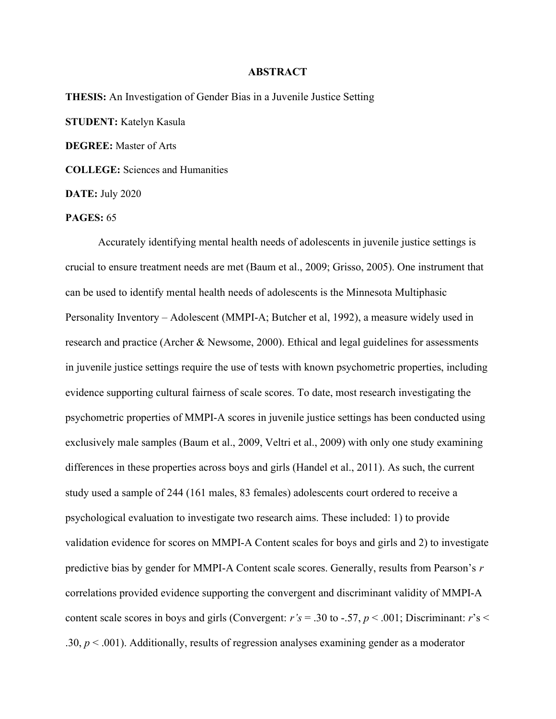## **ABSTRACT**

THESIS: An Investigation of Gender Bias in a Juvenile Justice Setting STUDENT: Katelyn Kasula DEGREE: Master of Arts COLLEGE: Sciences and Humanities DATE: July 2020

PAGES: 65

Accurately identifying mental health needs of adolescents in juvenile justice settings is crucial to ensure treatment needs are met (Baum et al., 2009; Grisso, 2005). One instrument that can be used to identify mental health needs of adolescents is the Minnesota Multiphasic Personality Inventory – Adolescent (MMPI-A; Butcher et al, 1992), a measure widely used in research and practice (Archer & Newsome, 2000). Ethical and legal guidelines for assessments in juvenile justice settings require the use of tests with known psychometric properties, including evidence supporting cultural fairness of scale scores. To date, most research investigating the psychometric properties of MMPI-A scores in juvenile justice settings has been conducted using exclusively male samples (Baum et al., 2009, Veltri et al., 2009) with only one study examining differences in these properties across boys and girls (Handel et al., 2011). As such, the current study used a sample of 244 (161 males, 83 females) adolescents court ordered to receive a psychological evaluation to investigate two research aims. These included: 1) to provide validation evidence for scores on MMPI-A Content scales for boys and girls and 2) to investigate predictive bias by gender for MMPI-A Content scale scores. Generally, results from Pearson's r correlations provided evidence supporting the convergent and discriminant validity of MMPI-A content scale scores in boys and girls (Convergent:  $r's = .30$  to -.57,  $p < .001$ ; Discriminant:  $r's <$ .30,  $p < .001$ ). Additionally, results of regression analyses examining gender as a moderator